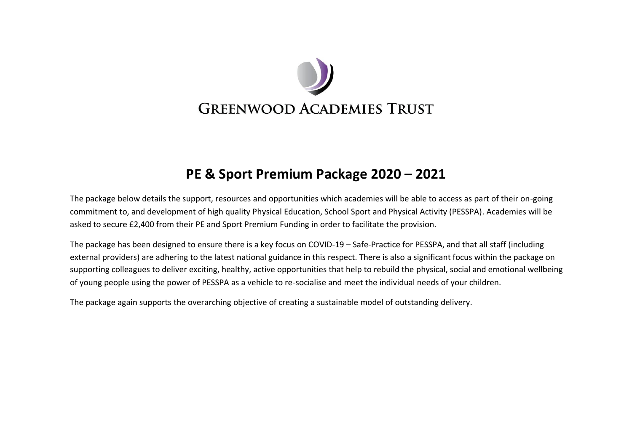

## **PE & Sport Premium Package 2020 – 2021**

The package below details the support, resources and opportunities which academies will be able to access as part of their on-going commitment to, and development of high quality Physical Education, School Sport and Physical Activity (PESSPA). Academies will be asked to secure £2,400 from their PE and Sport Premium Funding in order to facilitate the provision.

The package has been designed to ensure there is a key focus on COVID-19 – Safe-Practice for PESSPA, and that all staff (including external providers) are adhering to the latest national guidance in this respect. There is also a significant focus within the package on supporting colleagues to deliver exciting, healthy, active opportunities that help to rebuild the physical, social and emotional wellbeing of young people using the power of PESSPA as a vehicle to re-socialise and meet the individual needs of your children.

The package again supports the overarching objective of creating a sustainable model of outstanding delivery.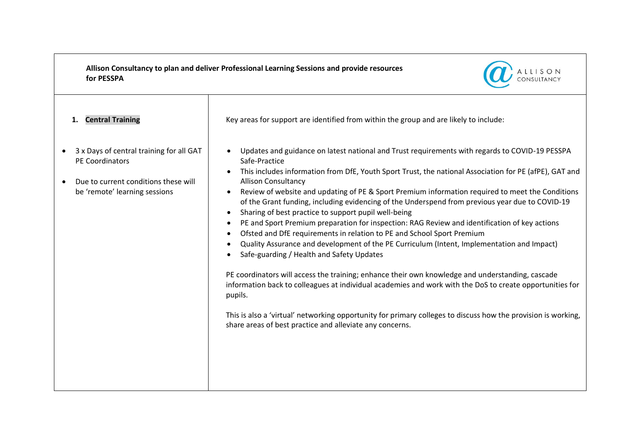**Allison Consultancy to plan and deliver Professional Learning Sessions and provide resources for PESSPA** 



| <b>Central Training</b><br>1.                                                                                                        | Key areas for support are identified from within the group and are likely to include:                                                                                                                                                                                                                                                                                                                                                                                                                                                                                                                                                                                                                                                                                                                                                                                                                                                                                                                                                                                                                                                                                                                                                                |
|--------------------------------------------------------------------------------------------------------------------------------------|------------------------------------------------------------------------------------------------------------------------------------------------------------------------------------------------------------------------------------------------------------------------------------------------------------------------------------------------------------------------------------------------------------------------------------------------------------------------------------------------------------------------------------------------------------------------------------------------------------------------------------------------------------------------------------------------------------------------------------------------------------------------------------------------------------------------------------------------------------------------------------------------------------------------------------------------------------------------------------------------------------------------------------------------------------------------------------------------------------------------------------------------------------------------------------------------------------------------------------------------------|
| 3 x Days of central training for all GAT<br>PE Coordinators<br>Due to current conditions these will<br>be 'remote' learning sessions | Updates and guidance on latest national and Trust requirements with regards to COVID-19 PESSPA<br>Safe-Practice<br>This includes information from DfE, Youth Sport Trust, the national Association for PE (afPE), GAT and<br><b>Allison Consultancy</b><br>Review of website and updating of PE & Sport Premium information required to meet the Conditions<br>of the Grant funding, including evidencing of the Underspend from previous year due to COVID-19<br>Sharing of best practice to support pupil well-being<br>PE and Sport Premium preparation for inspection: RAG Review and identification of key actions<br>Ofsted and DfE requirements in relation to PE and School Sport Premium<br>Quality Assurance and development of the PE Curriculum (Intent, Implementation and Impact)<br>Safe-guarding / Health and Safety Updates<br>PE coordinators will access the training; enhance their own knowledge and understanding, cascade<br>information back to colleagues at individual academies and work with the DoS to create opportunities for<br>pupils.<br>This is also a 'virtual' networking opportunity for primary colleges to discuss how the provision is working,<br>share areas of best practice and alleviate any concerns. |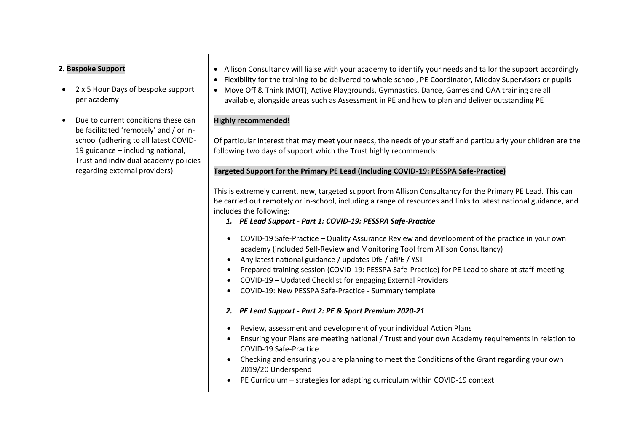| 2. Bespoke Support<br>2 x 5 Hour Days of bespoke support<br>per academy                                                                                                                                                               | • Allison Consultancy will liaise with your academy to identify your needs and tailor the support accordingly<br>Flexibility for the training to be delivered to whole school, PE Coordinator, Midday Supervisors or pupils<br>$\bullet$<br>Move Off & Think (MOT), Active Playgrounds, Gymnastics, Dance, Games and OAA training are all<br>$\bullet$<br>available, alongside areas such as Assessment in PE and how to plan and deliver outstanding PE |
|---------------------------------------------------------------------------------------------------------------------------------------------------------------------------------------------------------------------------------------|----------------------------------------------------------------------------------------------------------------------------------------------------------------------------------------------------------------------------------------------------------------------------------------------------------------------------------------------------------------------------------------------------------------------------------------------------------|
| Due to current conditions these can<br>be facilitated 'remotely' and / or in-<br>school (adhering to all latest COVID-<br>19 guidance - including national,<br>Trust and individual academy policies<br>regarding external providers) | <b>Highly recommended!</b><br>Of particular interest that may meet your needs, the needs of your staff and particularly your children are the<br>following two days of support which the Trust highly recommends:<br>Targeted Support for the Primary PE Lead (Including COVID-19: PESSPA Safe-Practice)                                                                                                                                                 |
|                                                                                                                                                                                                                                       | This is extremely current, new, targeted support from Allison Consultancy for the Primary PE Lead. This can<br>be carried out remotely or in-school, including a range of resources and links to latest national guidance, and<br>includes the following:<br>1. PE Lead Support - Part 1: COVID-19: PESSPA Safe-Practice                                                                                                                                 |
|                                                                                                                                                                                                                                       | COVID-19 Safe-Practice - Quality Assurance Review and development of the practice in your own<br>$\bullet$<br>academy (included Self-Review and Monitoring Tool from Allison Consultancy)<br>Any latest national guidance / updates DfE / afPE / YST<br>Prepared training session (COVID-19: PESSPA Safe-Practice) for PE Lead to share at staff-meeting                                                                                                 |
|                                                                                                                                                                                                                                       | COVID-19 - Updated Checklist for engaging External Providers<br>$\bullet$<br>COVID-19: New PESSPA Safe-Practice - Summary template<br>2. PE Lead Support - Part 2: PE & Sport Premium 2020-21                                                                                                                                                                                                                                                            |
|                                                                                                                                                                                                                                       | Review, assessment and development of your individual Action Plans<br>Ensuring your Plans are meeting national / Trust and your own Academy requirements in relation to<br>COVID-19 Safe-Practice<br>Checking and ensuring you are planning to meet the Conditions of the Grant regarding your own<br>2019/20 Underspend                                                                                                                                 |
|                                                                                                                                                                                                                                       | PE Curriculum - strategies for adapting curriculum within COVID-19 context                                                                                                                                                                                                                                                                                                                                                                               |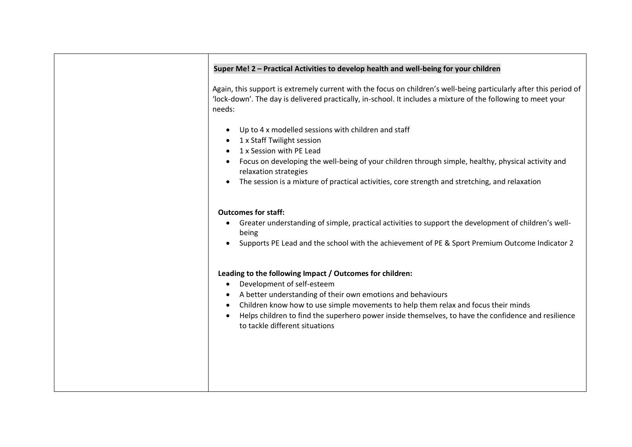| Super Me! 2 - Practical Activities to develop health and well-being for your children                                                                                                                                                                                                                                                                                                |
|--------------------------------------------------------------------------------------------------------------------------------------------------------------------------------------------------------------------------------------------------------------------------------------------------------------------------------------------------------------------------------------|
| Again, this support is extremely current with the focus on children's well-being particularly after this period of<br>'lock-down'. The day is delivered practically, in-school. It includes a mixture of the following to meet your<br>needs:                                                                                                                                        |
| Up to 4 x modelled sessions with children and staff<br>1 x Staff Twilight session<br>1 x Session with PE Lead<br>Focus on developing the well-being of your children through simple, healthy, physical activity and<br>relaxation strategies<br>The session is a mixture of practical activities, core strength and stretching, and relaxation                                       |
| <b>Outcomes for staff:</b><br>Greater understanding of simple, practical activities to support the development of children's well-<br>$\bullet$<br>being<br>Supports PE Lead and the school with the achievement of PE & Sport Premium Outcome Indicator 2                                                                                                                           |
| Leading to the following Impact / Outcomes for children:<br>Development of self-esteem<br>A better understanding of their own emotions and behaviours<br>Children know how to use simple movements to help them relax and focus their minds<br>Helps children to find the superhero power inside themselves, to have the confidence and resilience<br>to tackle different situations |